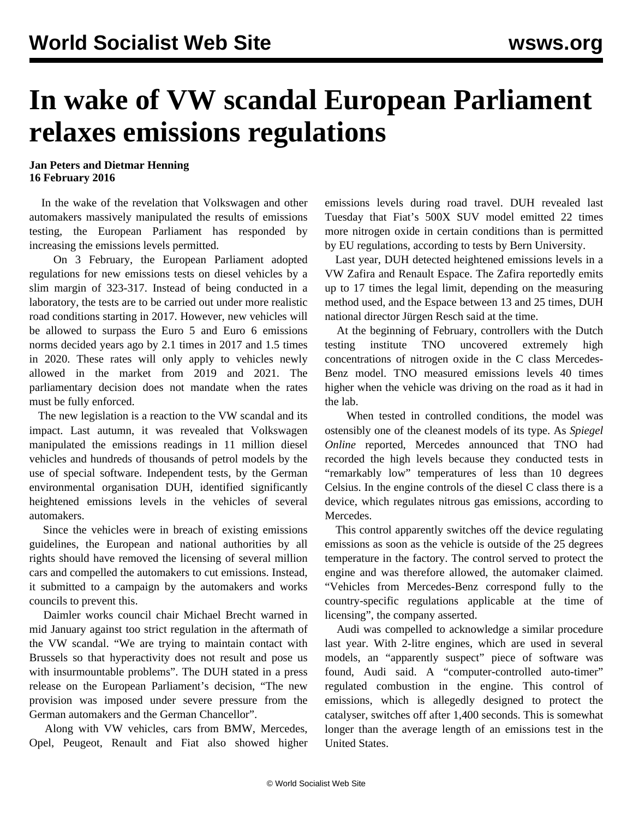## **In wake of VW scandal European Parliament relaxes emissions regulations**

## **Jan Peters and Dietmar Henning 16 February 2016**

 In the wake of the revelation that Volkswagen and other automakers massively manipulated the results of emissions testing, the European Parliament has responded by increasing the emissions levels permitted.

 On 3 February, the European Parliament adopted regulations for new emissions tests on diesel vehicles by a slim margin of 323-317. Instead of being conducted in a laboratory, the tests are to be carried out under more realistic road conditions starting in 2017. However, new vehicles will be allowed to surpass the Euro 5 and Euro 6 emissions norms decided years ago by 2.1 times in 2017 and 1.5 times in 2020. These rates will only apply to vehicles newly allowed in the market from 2019 and 2021. The parliamentary decision does not mandate when the rates must be fully enforced.

 The new legislation is a reaction to the VW scandal and its impact. Last autumn, it was revealed that Volkswagen manipulated the emissions readings in 11 million diesel vehicles and hundreds of thousands of petrol models by the use of special software. Independent tests, by the German environmental organisation DUH, identified significantly heightened emissions levels in the vehicles of several automakers.

 Since the vehicles were in breach of existing emissions guidelines, the European and national authorities by all rights should have removed the licensing of several million cars and compelled the automakers to cut emissions. Instead, it submitted to a campaign by the automakers and works councils to prevent this.

 Daimler works council chair Michael Brecht warned in mid January against too strict regulation in the aftermath of the VW scandal. "We are trying to maintain contact with Brussels so that hyperactivity does not result and pose us with insurmountable problems". The DUH stated in a press release on the European Parliament's decision, "The new provision was imposed under severe pressure from the German automakers and the German Chancellor".

 Along with VW vehicles, cars from BMW, Mercedes, Opel, Peugeot, Renault and Fiat also showed higher emissions levels during road travel. DUH revealed last Tuesday that Fiat's 500X SUV model emitted 22 times more nitrogen oxide in certain conditions than is permitted by EU regulations, according to tests by Bern University.

 Last year, DUH detected heightened emissions levels in a VW Zafira and Renault Espace. The Zafira reportedly emits up to 17 times the legal limit, depending on the measuring method used, and the Espace between 13 and 25 times, DUH national director Jürgen Resch said at the time.

 At the beginning of February, controllers with the Dutch testing institute TNO uncovered extremely high concentrations of nitrogen oxide in the C class Mercedes-Benz model. TNO measured emissions levels 40 times higher when the vehicle was driving on the road as it had in the lab.

 When tested in controlled conditions, the model was ostensibly one of the cleanest models of its type. As *Spiegel Online* reported, Mercedes announced that TNO had recorded the high levels because they conducted tests in "remarkably low" temperatures of less than 10 degrees Celsius. In the engine controls of the diesel C class there is a device, which regulates nitrous gas emissions, according to Mercedes.

 This control apparently switches off the device regulating emissions as soon as the vehicle is outside of the 25 degrees temperature in the factory. The control served to protect the engine and was therefore allowed, the automaker claimed. "Vehicles from Mercedes-Benz correspond fully to the country-specific regulations applicable at the time of licensing", the company asserted.

 Audi was compelled to acknowledge a similar procedure last year. With 2-litre engines, which are used in several models, an "apparently suspect" piece of software was found, Audi said. A "computer-controlled auto-timer" regulated combustion in the engine. This control of emissions, which is allegedly designed to protect the catalyser, switches off after 1,400 seconds. This is somewhat longer than the average length of an emissions test in the United States.